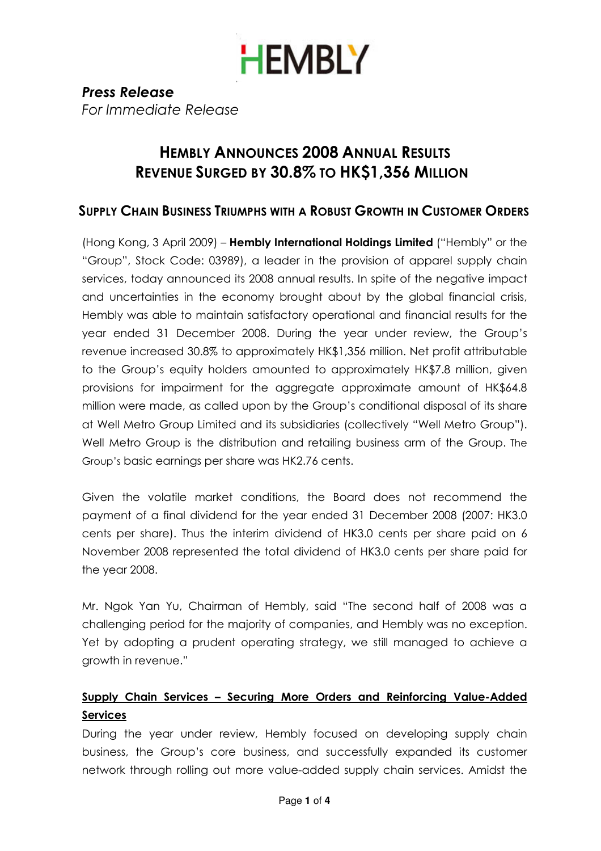

Press Release For Immediate Release

### HEMBLY ANNOUNCES 2008 ANNUAL RESULTS REVENUE SURGED BY 30.8% TO HK\$1,356 MILLION

### SUPPLY CHAIN BUSINESS TRIUMPHS WITH A ROBUST GROWTH IN CUSTOMER ORDERS

(Hong Kong, 3 April 2009) – Hembly International Holdings Limited ("Hembly" or the "Group", Stock Code: 03989), a leader in the provision of apparel supply chain services, today announced its 2008 annual results. In spite of the negative impact and uncertainties in the economy brought about by the global financial crisis, Hembly was able to maintain satisfactory operational and financial results for the year ended 31 December 2008. During the year under review, the Group's revenue increased 30.8% to approximately HK\$1,356 million. Net profit attributable to the Group's equity holders amounted to approximately HK\$7.8 million, given provisions for impairment for the aggregate approximate amount of HK\$64.8 million were made, as called upon by the Group's conditional disposal of its share at Well Metro Group Limited and its subsidiaries (collectively "Well Metro Group"). Well Metro Group is the distribution and retailing business arm of the Group. The Group's basic earnings per share was HK2.76 cents.

Given the volatile market conditions, the Board does not recommend the payment of a final dividend for the year ended 31 December 2008 (2007: HK3.0 cents per share). Thus the interim dividend of HK3.0 cents per share paid on 6 November 2008 represented the total dividend of HK3.0 cents per share paid for the year 2008.

Mr. Ngok Yan Yu, Chairman of Hembly, said "The second half of 2008 was a challenging period for the majority of companies, and Hembly was no exception. Yet by adopting a prudent operating strategy, we still managed to achieve a growth in revenue."

### Supply Chain Services – Securing More Orders and Reinforcing Value-Added Services

During the year under review, Hembly focused on developing supply chain business, the Group's core business, and successfully expanded its customer network through rolling out more value-added supply chain services. Amidst the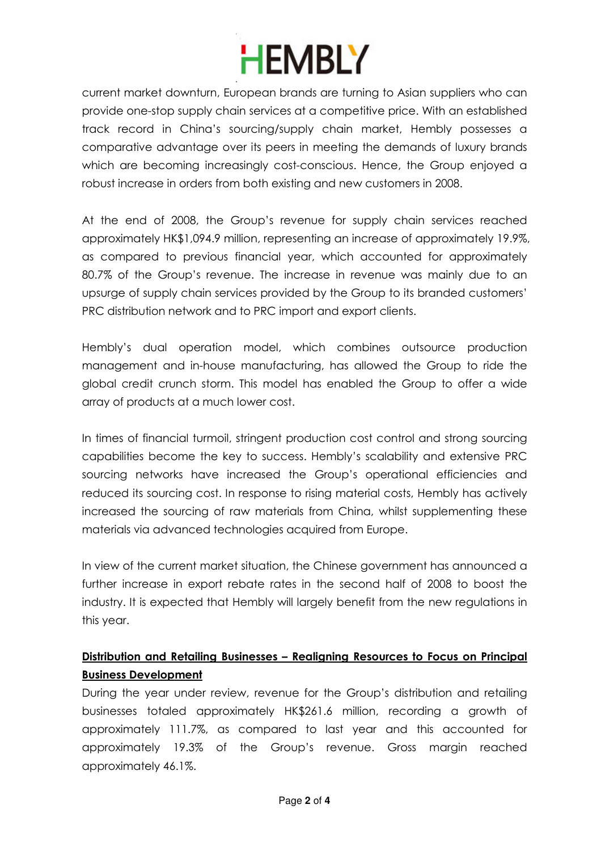## **HEMBLY**

current market downturn, European brands are turning to Asian suppliers who can provide one-stop supply chain services at a competitive price. With an established track record in China's sourcing/supply chain market, Hembly possesses a comparative advantage over its peers in meeting the demands of luxury brands which are becoming increasingly cost-conscious. Hence, the Group enjoyed a robust increase in orders from both existing and new customers in 2008.

At the end of 2008, the Group's revenue for supply chain services reached approximately HK\$1,094.9 million, representing an increase of approximately 19.9%, as compared to previous financial year, which accounted for approximately 80.7% of the Group's revenue. The increase in revenue was mainly due to an upsurge of supply chain services provided by the Group to its branded customers' PRC distribution network and to PRC import and export clients.

Hembly's dual operation model, which combines outsource production management and in-house manufacturing, has allowed the Group to ride the global credit crunch storm. This model has enabled the Group to offer a wide array of products at a much lower cost.

In times of financial turmoil, stringent production cost control and strong sourcing capabilities become the key to success. Hembly's scalability and extensive PRC sourcing networks have increased the Group's operational efficiencies and reduced its sourcing cost. In response to rising material costs, Hembly has actively increased the sourcing of raw materials from China, whilst supplementing these materials via advanced technologies acquired from Europe.

In view of the current market situation, the Chinese government has announced a further increase in export rebate rates in the second half of 2008 to boost the industry. It is expected that Hembly will largely benefit from the new regulations in this year.

### Distribution and Retailing Businesses – Realigning Resources to Focus on Principal Business Development

During the year under review, revenue for the Group's distribution and retailing businesses totaled approximately HK\$261.6 million, recording a growth of approximately 111.7%, as compared to last year and this accounted for approximately 19.3% of the Group's revenue. Gross margin reached approximately 46.1%.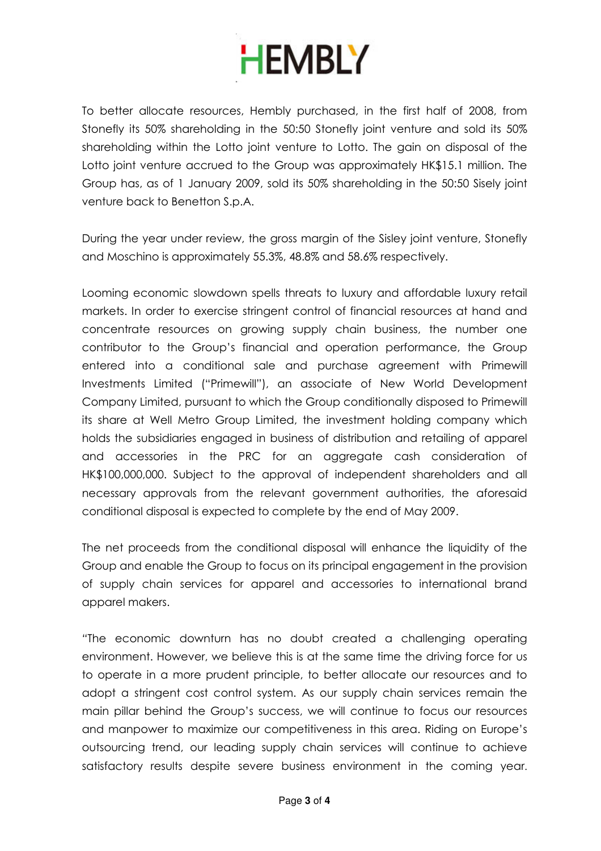# **HEMBLY**

To better allocate resources, Hembly purchased, in the first half of 2008, from Stonefly its 50% shareholding in the 50:50 Stonefly joint venture and sold its 50% shareholding within the Lotto joint venture to Lotto. The gain on disposal of the Lotto joint venture accrued to the Group was approximately HK\$15.1 million. The Group has, as of 1 January 2009, sold its 50% shareholding in the 50:50 Sisely joint venture back to Benetton S.p.A.

During the year under review, the gross margin of the Sisley joint venture, Stonefly and Moschino is approximately 55.3%, 48.8% and 58.6% respectively.

Looming economic slowdown spells threats to luxury and affordable luxury retail markets. In order to exercise stringent control of financial resources at hand and concentrate resources on growing supply chain business, the number one contributor to the Group's financial and operation performance, the Group entered into a conditional sale and purchase agreement with Primewill Investments Limited ("Primewill"), an associate of New World Development Company Limited, pursuant to which the Group conditionally disposed to Primewill its share at Well Metro Group Limited, the investment holding company which holds the subsidiaries engaged in business of distribution and retailing of apparel and accessories in the PRC for an aggregate cash consideration of HK\$100,000,000. Subject to the approval of independent shareholders and all necessary approvals from the relevant government authorities, the aforesaid conditional disposal is expected to complete by the end of May 2009.

The net proceeds from the conditional disposal will enhance the liquidity of the Group and enable the Group to focus on its principal engagement in the provision of supply chain services for apparel and accessories to international brand apparel makers.

"The economic downturn has no doubt created a challenging operating environment. However, we believe this is at the same time the driving force for us to operate in a more prudent principle, to better allocate our resources and to adopt a stringent cost control system. As our supply chain services remain the main pillar behind the Group's success, we will continue to focus our resources and manpower to maximize our competitiveness in this area. Riding on Europe's outsourcing trend, our leading supply chain services will continue to achieve satisfactory results despite severe business environment in the coming year.